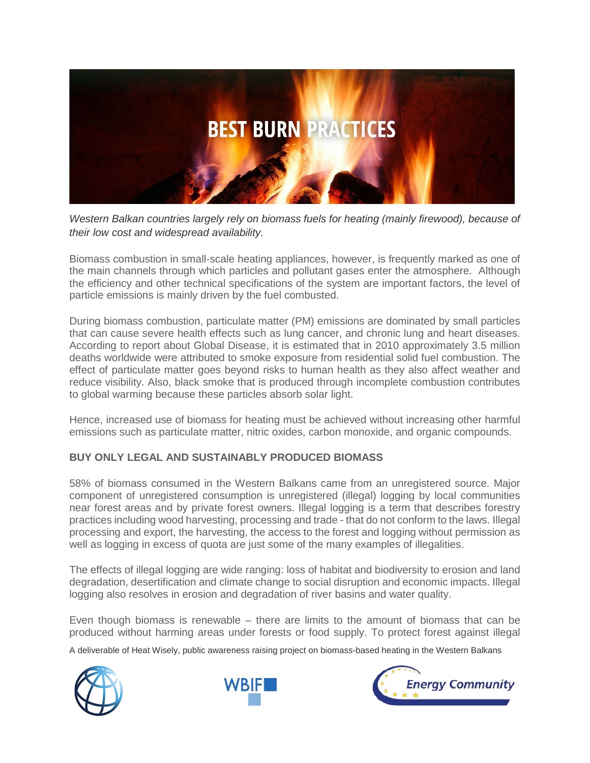

*Western Balkan countries largely rely on biomass fuels for heating (mainly firewood), because of their low cost and widespread availability.* 

Biomass combustion in small-scale heating appliances, however, is frequently marked as one of the main channels through which particles and pollutant gases enter the atmosphere. Although the efficiency and other technical specifications of the system are important factors, the level of particle emissions is mainly driven by the fuel combusted.

During biomass combustion, particulate matter (PM) emissions are dominated by small particles that can cause severe health effects such as lung cancer, and chronic lung and heart diseases. According to report about Global Disease, it is estimated that in 2010 approximately 3.5 million deaths worldwide were attributed to smoke exposure from residential solid fuel combustion. The effect of particulate matter goes beyond risks to human health as they also affect weather and reduce visibility. Also, black smoke that is produced through incomplete combustion contributes to global warming because these particles absorb solar light.

Hence, increased use of biomass for heating must be achieved without increasing other harmful emissions such as particulate matter, nitric oxides, carbon monoxide, and organic compounds.

## **BUY ONLY LEGAL AND SUSTAINABLY PRODUCED BIOMASS**

58% of biomass consumed in the Western Balkans came from an unregistered source. Major component of unregistered consumption is unregistered (illegal) logging by local communities near forest areas and by private forest owners. Illegal logging is a term that describes forestry practices including wood harvesting, processing and trade - that do not conform to the laws. Illegal processing and export, the harvesting, the access to the forest and logging without permission as well as logging in excess of quota are just some of the many examples of illegalities.

The effects of illegal logging are wide ranging: loss of habitat and biodiversity to erosion and land degradation, desertification and climate change to social disruption and economic impacts. Illegal logging also resolves in erosion and degradation of river basins and water quality.

Even though biomass is renewable – there are limits to the amount of biomass that can be produced without harming areas under forests or food supply. To protect forest against illegal

A deliverable of Heat Wisely, public awareness raising project on biomass-based heating in the Western Balkans